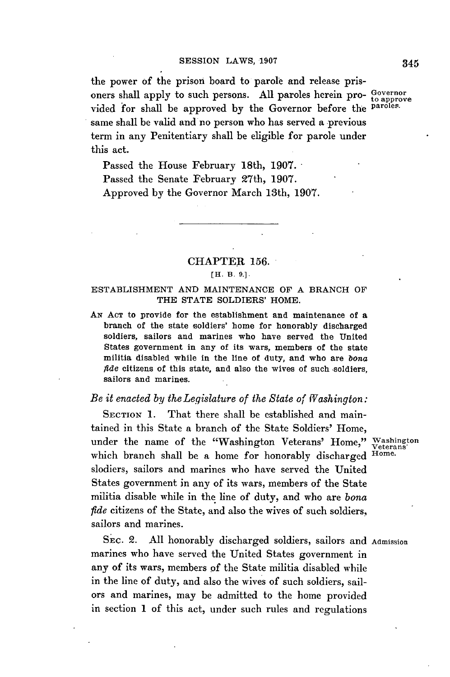the power of the prison board to parole and release prisoners shall apply to such persons. **All** paroles herein pro- **Governor to approve** vided for shall be approved **by** the Governor before the **paroles.** same shall be valid and no person who has served a previous term in any Penitentiary shall be eligible for parole under this act.

Passed the House February 18th, **1907.** Passed the Senate February 27th, **1907.** Approved **by** the Governor March 13th, **1907.**

## **CHAPTER 156.**

## **[H. B. 9.].**

## ESTABLISHMENT **AND MAINTENANCE** OF **A** BRANCH OF THE **STATE** SOLDIERS' HOME.

**AN ACT** to provide for the establishment and maintenance of a branch of the state soldiers' home for honorably discharged soldiers, sailors and marines who have served the United States government in any of its wars, members of the state militia disabled while in the line of duty, and who are *bona fide* citizens of this state, and also the wives of such soldiers. sailors and marines.

## *Be it enacted by theLegislature of the State of Washington:*

SECTION 1. That there shall be established and maintained in this State a branch of the State Soldiers' Home, under the name of the "Washington Veterans' Home," Washington which branch shall be a home for honorably discharged **Home.** slodiers, sailors and marines who have served the United States government in any of its wars, members of the State militia disable while in the line of duty, and who are *bona fide* citizens of the State, and also the wives of such soldiers, sailors and marines.

**SEC.** 2. **All** honorably discharged soldiers, sailors and **Admission** marines who have served the United States government in any of its wars, members **of** the State militia disabled while in the line of duty, and also the wives of such soldiers, sailors and marines, may be admitted to the home provided in section 1 of this act, under such rules and regulations

345